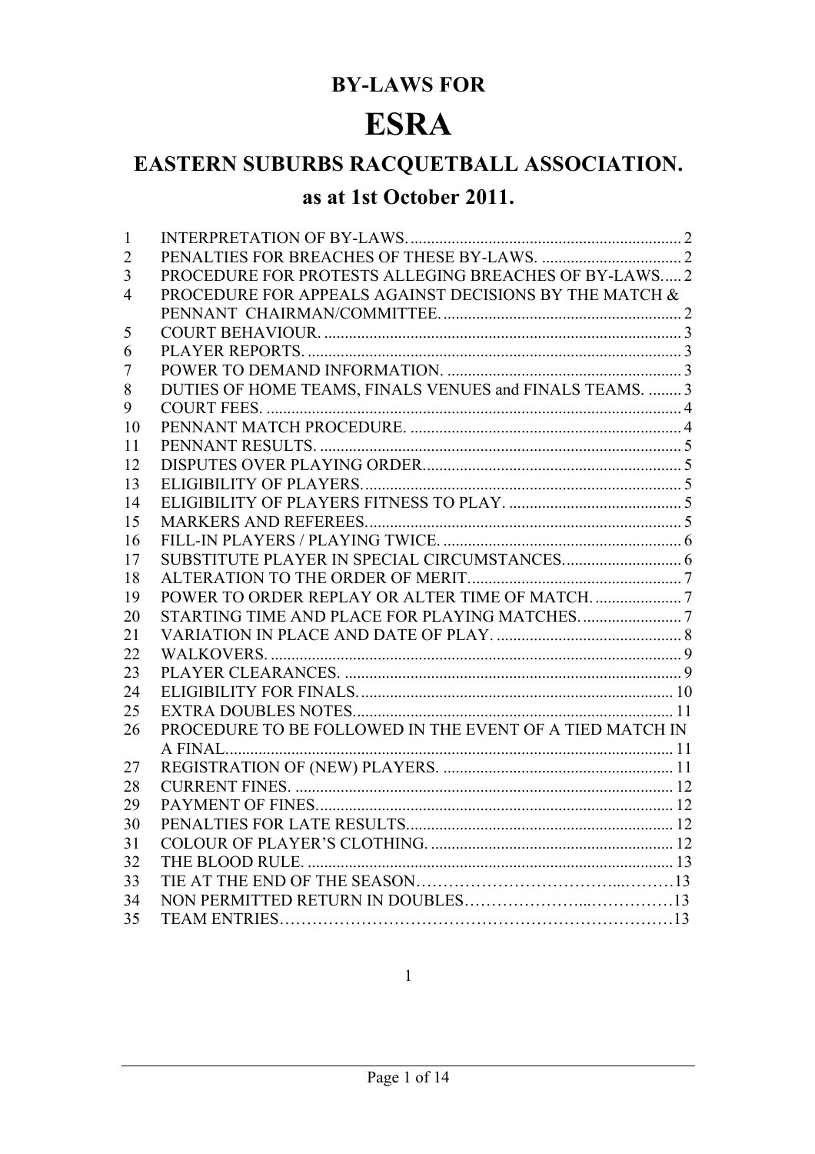# **BY-LAWS FOR**

# **ESRA**

# **EASTERN SUBURBS RACQUETBALL ASSOCIATION.**

# **as at 1st October 2011.**

| 1              |                                                          |  |
|----------------|----------------------------------------------------------|--|
| $\overline{2}$ |                                                          |  |
| 3              | PROCEDURE FOR PROTESTS ALLEGING BREACHES OF BY-LAWS2     |  |
| 4              | PROCEDURE FOR APPEALS AGAINST DECISIONS BY THE MATCH &   |  |
|                |                                                          |  |
| 5              |                                                          |  |
| 6              |                                                          |  |
| 7              |                                                          |  |
| 8              | DUTIES OF HOME TEAMS, FINALS VENUES and FINALS TEAMS.  3 |  |
| 9              |                                                          |  |
| 10             |                                                          |  |
| 11             |                                                          |  |
| 12             |                                                          |  |
| 13             |                                                          |  |
| 14             |                                                          |  |
| 15             |                                                          |  |
| 16             |                                                          |  |
| 17             |                                                          |  |
| 18             |                                                          |  |
| 19             |                                                          |  |
| 20             |                                                          |  |
| 21             |                                                          |  |
| 22             |                                                          |  |
| 23             |                                                          |  |
| 24             |                                                          |  |
| 25             |                                                          |  |
| 26             | PROCEDURE TO BE FOLLOWED IN THE EVENT OF A TIED MATCH IN |  |
|                |                                                          |  |
| 27             |                                                          |  |
| 28             |                                                          |  |
| 29             |                                                          |  |
| 30             |                                                          |  |
| 31             |                                                          |  |
| 32             |                                                          |  |
| 33             |                                                          |  |
| 34             |                                                          |  |
| 35             |                                                          |  |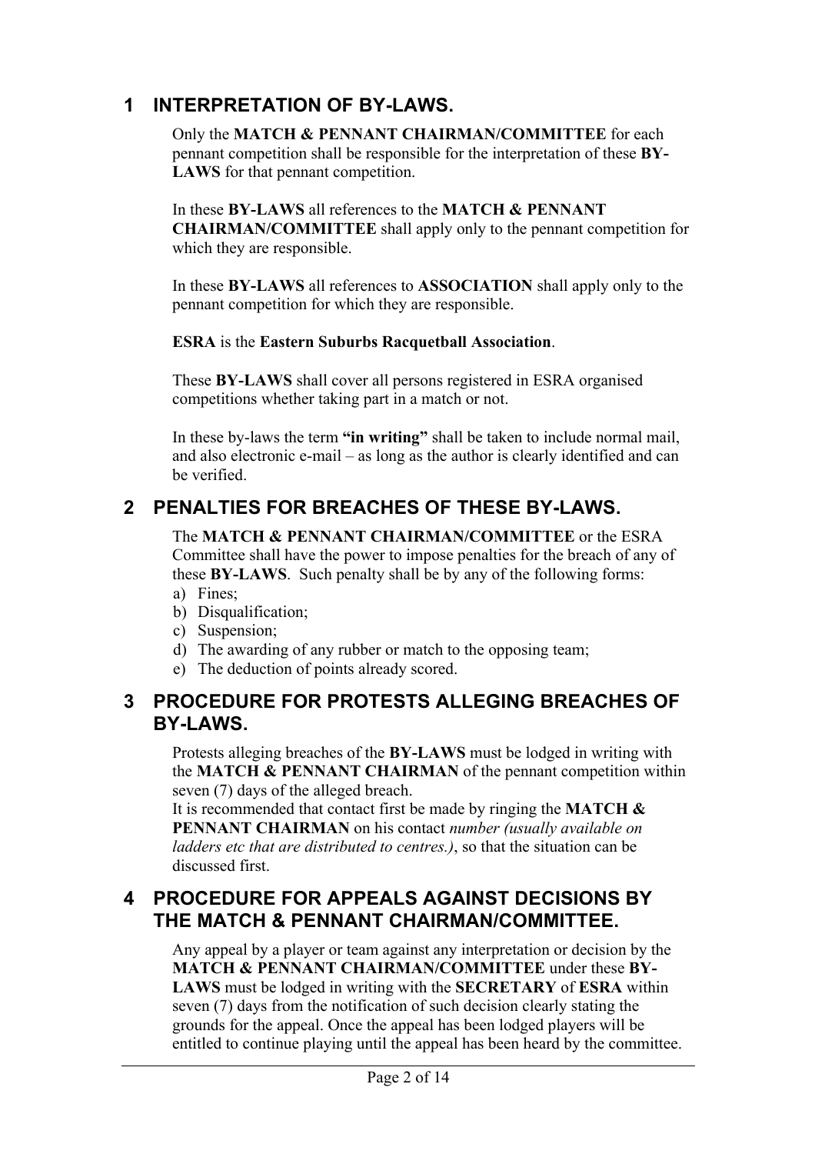### **1 INTERPRETATION OF BY-LAWS.**

Only the **MATCH & PENNANT CHAIRMAN/COMMITTEE** for each pennant competition shall be responsible for the interpretation of these **BY-LAWS** for that pennant competition.

In these **BY-LAWS** all references to the **MATCH & PENNANT CHAIRMAN/COMMITTEE** shall apply only to the pennant competition for which they are responsible.

In these **BY-LAWS** all references to **ASSOCIATION** shall apply only to the pennant competition for which they are responsible.

#### **ESRA** is the **Eastern Suburbs Racquetball Association**.

These **BY-LAWS** shall cover all persons registered in ESRA organised competitions whether taking part in a match or not.

In these by-laws the term **"in writing"** shall be taken to include normal mail, and also electronic e-mail – as long as the author is clearly identified and can be verified.

### **2 PENALTIES FOR BREACHES OF THESE BY-LAWS.**

The **MATCH & PENNANT CHAIRMAN/COMMITTEE** or the ESRA Committee shall have the power to impose penalties for the breach of any of these **BY-LAWS**. Such penalty shall be by any of the following forms: a) Fines;

- b) Disqualification;
- c) Suspension;
- d) The awarding of any rubber or match to the opposing team;
- e) The deduction of points already scored.

#### **3 PROCEDURE FOR PROTESTS ALLEGING BREACHES OF BY-LAWS.**

Protests alleging breaches of the **BY-LAWS** must be lodged in writing with the **MATCH & PENNANT CHAIRMAN** of the pennant competition within seven (7) days of the alleged breach.

It is recommended that contact first be made by ringing the **MATCH & PENNANT CHAIRMAN** on his contact *number (usually available on ladders etc that are distributed to centres.)*, so that the situation can be discussed first.

#### **4 PROCEDURE FOR APPEALS AGAINST DECISIONS BY THE MATCH & PENNANT CHAIRMAN/COMMITTEE.**

Any appeal by a player or team against any interpretation or decision by the **MATCH & PENNANT CHAIRMAN/COMMITTEE** under these **BY-LAWS** must be lodged in writing with the **SECRETARY** of **ESRA** within seven (7) days from the notification of such decision clearly stating the grounds for the appeal. Once the appeal has been lodged players will be entitled to continue playing until the appeal has been heard by the committee.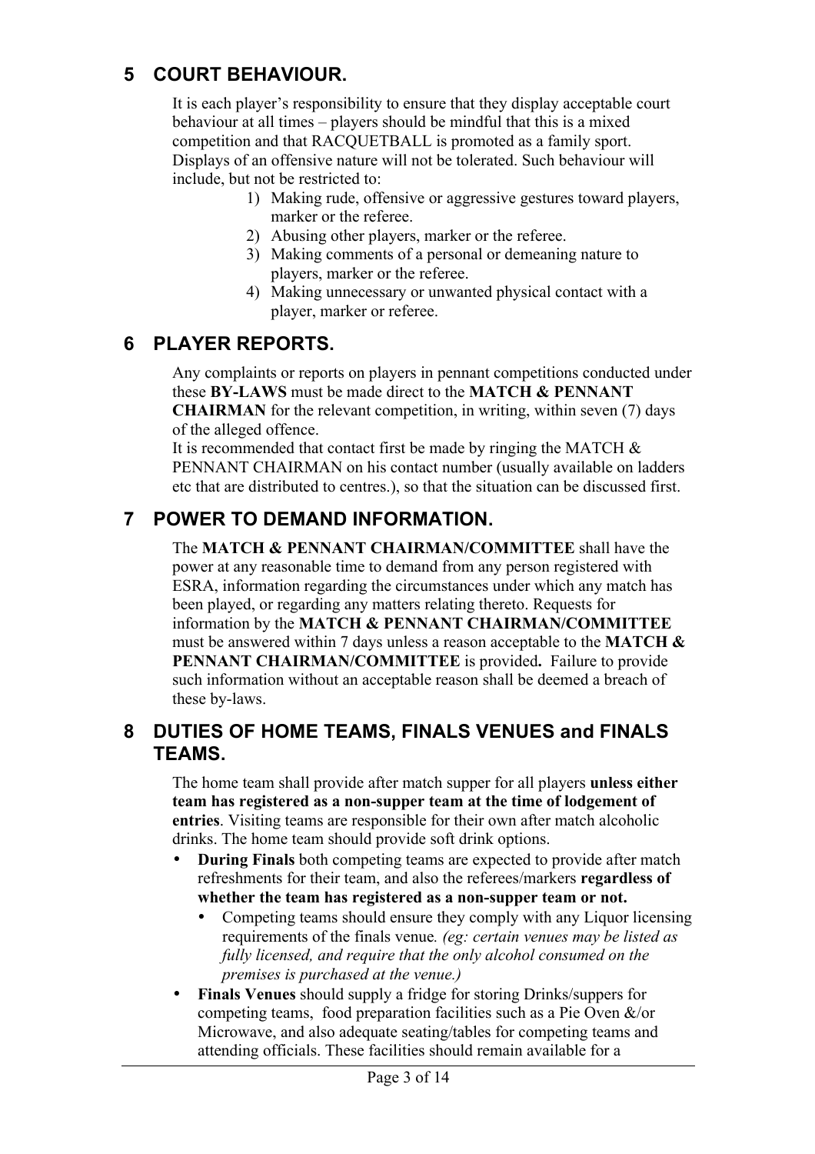#### **5 COURT BEHAVIOUR.**

It is each player's responsibility to ensure that they display acceptable court behaviour at all times – players should be mindful that this is a mixed competition and that RACQUETBALL is promoted as a family sport. Displays of an offensive nature will not be tolerated. Such behaviour will include, but not be restricted to:

- 1) Making rude, offensive or aggressive gestures toward players, marker or the referee.
- 2) Abusing other players, marker or the referee.
- 3) Making comments of a personal or demeaning nature to players, marker or the referee.
- 4) Making unnecessary or unwanted physical contact with a player, marker or referee.

#### **6 PLAYER REPORTS.**

Any complaints or reports on players in pennant competitions conducted under these **BY-LAWS** must be made direct to the **MATCH & PENNANT CHAIRMAN** for the relevant competition, in writing, within seven (7) days of the alleged offence.

It is recommended that contact first be made by ringing the MATCH  $\&$ PENNANT CHAIRMAN on his contact number (usually available on ladders etc that are distributed to centres.), so that the situation can be discussed first.

### **7 POWER TO DEMAND INFORMATION.**

The **MATCH & PENNANT CHAIRMAN/COMMITTEE** shall have the power at any reasonable time to demand from any person registered with ESRA, information regarding the circumstances under which any match has been played, or regarding any matters relating thereto. Requests for information by the **MATCH & PENNANT CHAIRMAN/COMMITTEE** must be answered within 7 days unless a reason acceptable to the **MATCH & PENNANT CHAIRMAN/COMMITTEE** is provided**.** Failure to provide such information without an acceptable reason shall be deemed a breach of these by-laws.

#### **8 DUTIES OF HOME TEAMS, FINALS VENUES and FINALS TEAMS.**

The home team shall provide after match supper for all players **unless either team has registered as a non-supper team at the time of lodgement of entries**. Visiting teams are responsible for their own after match alcoholic drinks. The home team should provide soft drink options.

- **During Finals** both competing teams are expected to provide after match refreshments for their team, and also the referees/markers **regardless of whether the team has registered as a non-supper team or not.**
	- Competing teams should ensure they comply with any Liquor licensing requirements of the finals venue*. (eg: certain venues may be listed as fully licensed, and require that the only alcohol consumed on the premises is purchased at the venue.)*
- **Finals Venues** should supply a fridge for storing Drinks/suppers for competing teams, food preparation facilities such as a Pie Oven &/or Microwave, and also adequate seating/tables for competing teams and attending officials. These facilities should remain available for a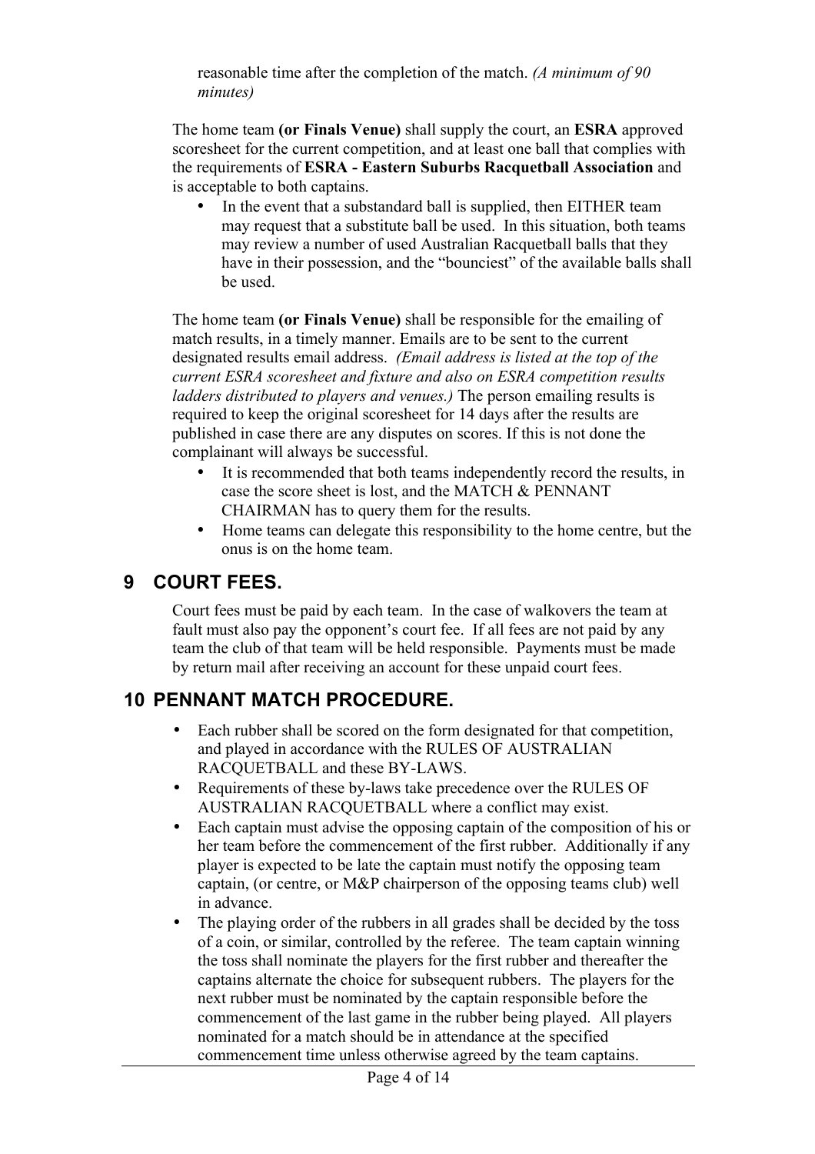reasonable time after the completion of the match. *(A minimum of 90 minutes)*

The home team **(or Finals Venue)** shall supply the court, an **ESRA** approved scoresheet for the current competition, and at least one ball that complies with the requirements of **ESRA - Eastern Suburbs Racquetball Association** and is acceptable to both captains.

• In the event that a substandard ball is supplied, then EITHER team may request that a substitute ball be used. In this situation, both teams may review a number of used Australian Racquetball balls that they have in their possession, and the "bounciest" of the available balls shall be used.

The home team **(or Finals Venue)** shall be responsible for the emailing of match results, in a timely manner. Emails are to be sent to the current designated results email address. *(Email address is listed at the top of the current ESRA scoresheet and fixture and also on ESRA competition results ladders distributed to players and venues.)* The person emailing results is required to keep the original scoresheet for 14 days after the results are published in case there are any disputes on scores. If this is not done the complainant will always be successful.

- It is recommended that both teams independently record the results, in case the score sheet is lost, and the MATCH & PENNANT CHAIRMAN has to query them for the results.
- Home teams can delegate this responsibility to the home centre, but the onus is on the home team.

#### **9 COURT FEES.**

Court fees must be paid by each team. In the case of walkovers the team at fault must also pay the opponent's court fee. If all fees are not paid by any team the club of that team will be held responsible. Payments must be made by return mail after receiving an account for these unpaid court fees.

# **10 PENNANT MATCH PROCEDURE.**

- Each rubber shall be scored on the form designated for that competition, and played in accordance with the RULES OF AUSTRALIAN RACQUETBALL and these BY-LAWS.
- Requirements of these by-laws take precedence over the RULES OF AUSTRALIAN RACQUETBALL where a conflict may exist.
- Each captain must advise the opposing captain of the composition of his or her team before the commencement of the first rubber. Additionally if any player is expected to be late the captain must notify the opposing team captain, (or centre, or M&P chairperson of the opposing teams club) well in advance.
- The playing order of the rubbers in all grades shall be decided by the toss of a coin, or similar, controlled by the referee. The team captain winning the toss shall nominate the players for the first rubber and thereafter the captains alternate the choice for subsequent rubbers. The players for the next rubber must be nominated by the captain responsible before the commencement of the last game in the rubber being played. All players nominated for a match should be in attendance at the specified commencement time unless otherwise agreed by the team captains.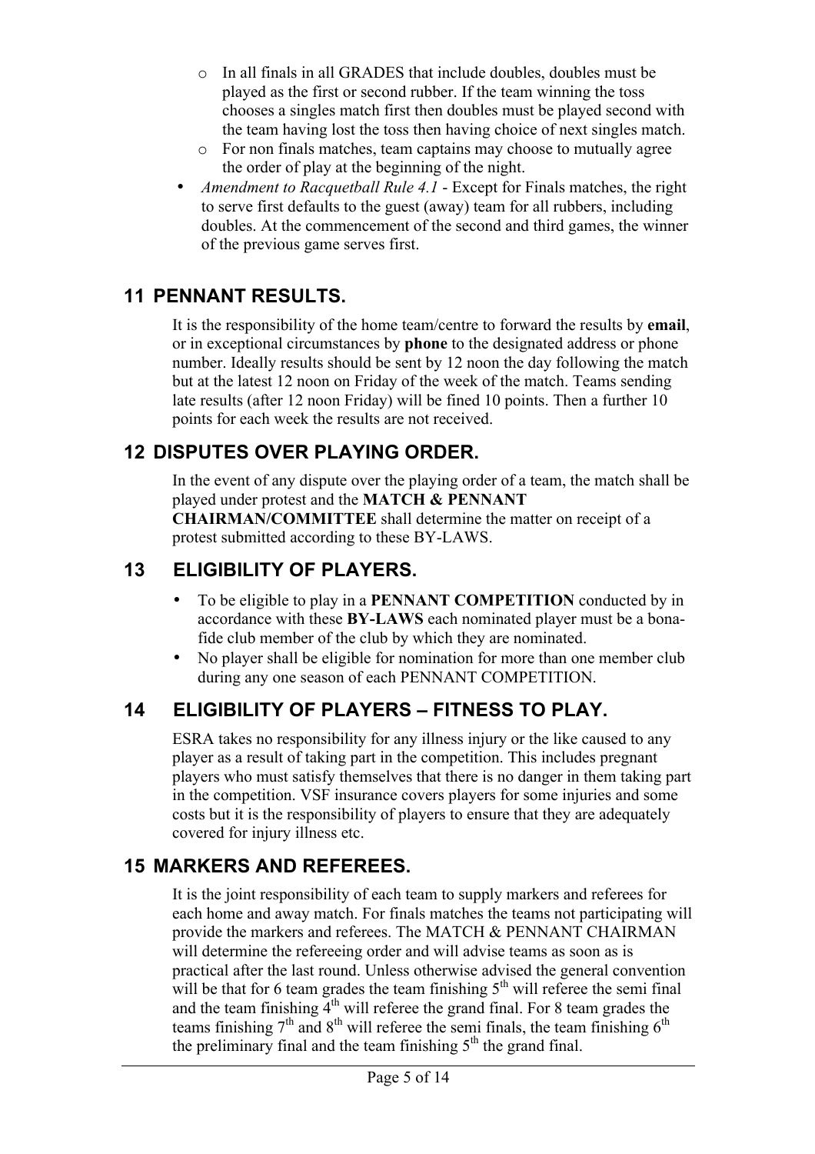- o In all finals in all GRADES that include doubles, doubles must be played as the first or second rubber. If the team winning the toss chooses a singles match first then doubles must be played second with the team having lost the toss then having choice of next singles match.
- o For non finals matches, team captains may choose to mutually agree the order of play at the beginning of the night.
- *Amendment to Racquetball Rule 4.1* Except for Finals matches, the right to serve first defaults to the guest (away) team for all rubbers, including doubles. At the commencement of the second and third games, the winner of the previous game serves first.

### **11 PENNANT RESULTS.**

It is the responsibility of the home team/centre to forward the results by **email**, or in exceptional circumstances by **phone** to the designated address or phone number. Ideally results should be sent by 12 noon the day following the match but at the latest 12 noon on Friday of the week of the match. Teams sending late results (after 12 noon Friday) will be fined 10 points. Then a further 10 points for each week the results are not received.

### **12 DISPUTES OVER PLAYING ORDER.**

In the event of any dispute over the playing order of a team, the match shall be played under protest and the **MATCH & PENNANT** 

**CHAIRMAN/COMMITTEE** shall determine the matter on receipt of a protest submitted according to these BY-LAWS.

## **13 ELIGIBILITY OF PLAYERS.**

- To be eligible to play in a **PENNANT COMPETITION** conducted by in accordance with these **BY-LAWS** each nominated player must be a bonafide club member of the club by which they are nominated.
- No player shall be eligible for nomination for more than one member club during any one season of each PENNANT COMPETITION.

# **14 ELIGIBILITY OF PLAYERS – FITNESS TO PLAY.**

ESRA takes no responsibility for any illness injury or the like caused to any player as a result of taking part in the competition. This includes pregnant players who must satisfy themselves that there is no danger in them taking part in the competition. VSF insurance covers players for some injuries and some costs but it is the responsibility of players to ensure that they are adequately covered for injury illness etc.

# **15 MARKERS AND REFEREES.**

It is the joint responsibility of each team to supply markers and referees for each home and away match. For finals matches the teams not participating will provide the markers and referees. The MATCH & PENNANT CHAIRMAN will determine the refereeing order and will advise teams as soon as is practical after the last round. Unless otherwise advised the general convention will be that for 6 team grades the team finishing  $5<sup>th</sup>$  will referee the semi final and the team finishing  $\overline{4}^{th}$  will referee the grand final. For 8 team grades the teams finishing  $7<sup>th</sup>$  and  $8<sup>th</sup>$  will referee the semi finals, the team finishing  $6<sup>th</sup>$ the preliminary final and the team finishing  $5<sup>th</sup>$  the grand final.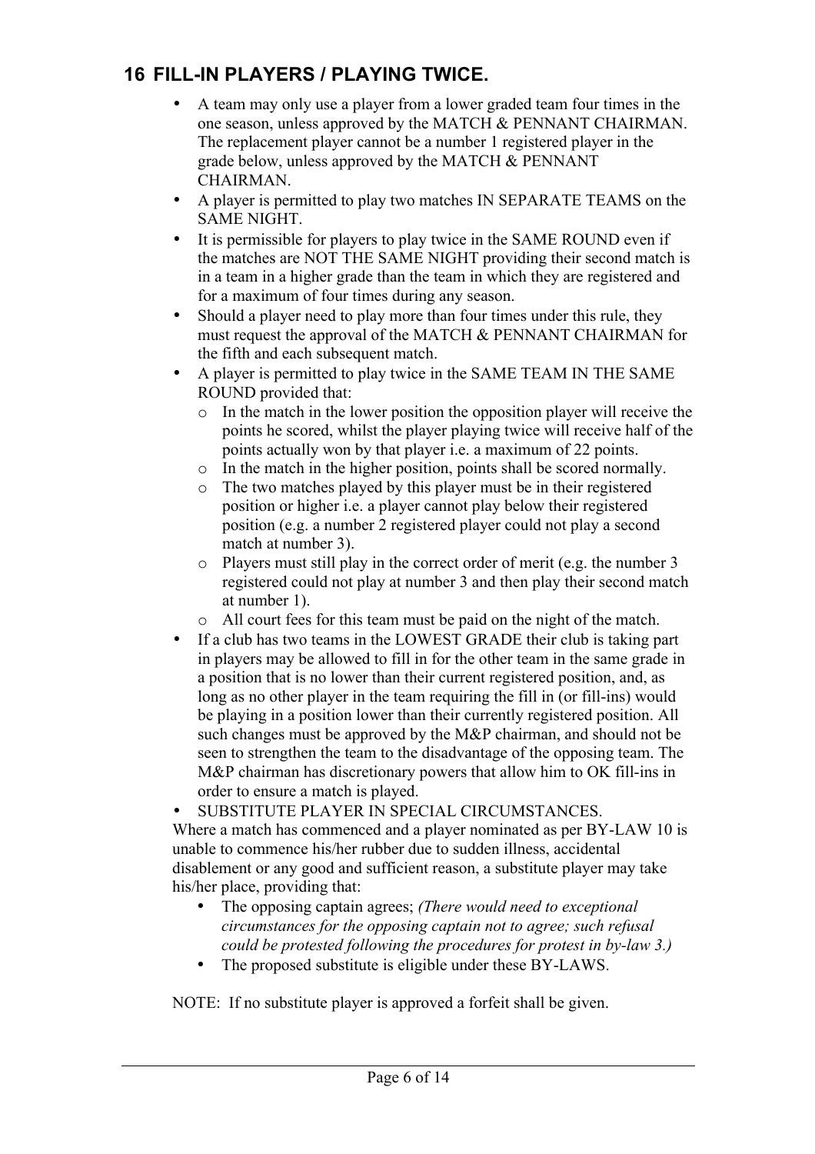# **16 FILL-IN PLAYERS / PLAYING TWICE.**

- A team may only use a player from a lower graded team four times in the one season, unless approved by the MATCH & PENNANT CHAIRMAN. The replacement player cannot be a number 1 registered player in the grade below, unless approved by the MATCH & PENNANT **CHAIRMAN**
- A player is permitted to play two matches IN SEPARATE TEAMS on the SAME NIGHT.
- It is permissible for players to play twice in the SAME ROUND even if the matches are NOT THE SAME NIGHT providing their second match is in a team in a higher grade than the team in which they are registered and for a maximum of four times during any season.
- Should a player need to play more than four times under this rule, they must request the approval of the MATCH & PENNANT CHAIRMAN for the fifth and each subsequent match.
- A player is permitted to play twice in the SAME TEAM IN THE SAME ROUND provided that:
	- o In the match in the lower position the opposition player will receive the points he scored, whilst the player playing twice will receive half of the points actually won by that player i.e. a maximum of 22 points.
	- o In the match in the higher position, points shall be scored normally.
	- o The two matches played by this player must be in their registered position or higher i.e. a player cannot play below their registered position (e.g. a number 2 registered player could not play a second match at number 3).
	- o Players must still play in the correct order of merit (e.g. the number 3 registered could not play at number 3 and then play their second match at number 1).
	- o All court fees for this team must be paid on the night of the match.
- If a club has two teams in the LOWEST GRADE their club is taking part in players may be allowed to fill in for the other team in the same grade in a position that is no lower than their current registered position, and, as long as no other player in the team requiring the fill in (or fill-ins) would be playing in a position lower than their currently registered position. All such changes must be approved by the M&P chairman, and should not be seen to strengthen the team to the disadvantage of the opposing team. The M&P chairman has discretionary powers that allow him to OK fill-ins in order to ensure a match is played.

• SUBSTITUTE PLAYER IN SPECIAL CIRCUMSTANCES.

Where a match has commenced and a player nominated as per BY-LAW 10 is unable to commence his/her rubber due to sudden illness, accidental disablement or any good and sufficient reason, a substitute player may take his/her place, providing that:

- The opposing captain agrees; *(There would need to exceptional circumstances for the opposing captain not to agree; such refusal could be protested following the procedures for protest in by-law 3.)*
- The proposed substitute is eligible under these BY-LAWS.

NOTE: If no substitute player is approved a forfeit shall be given.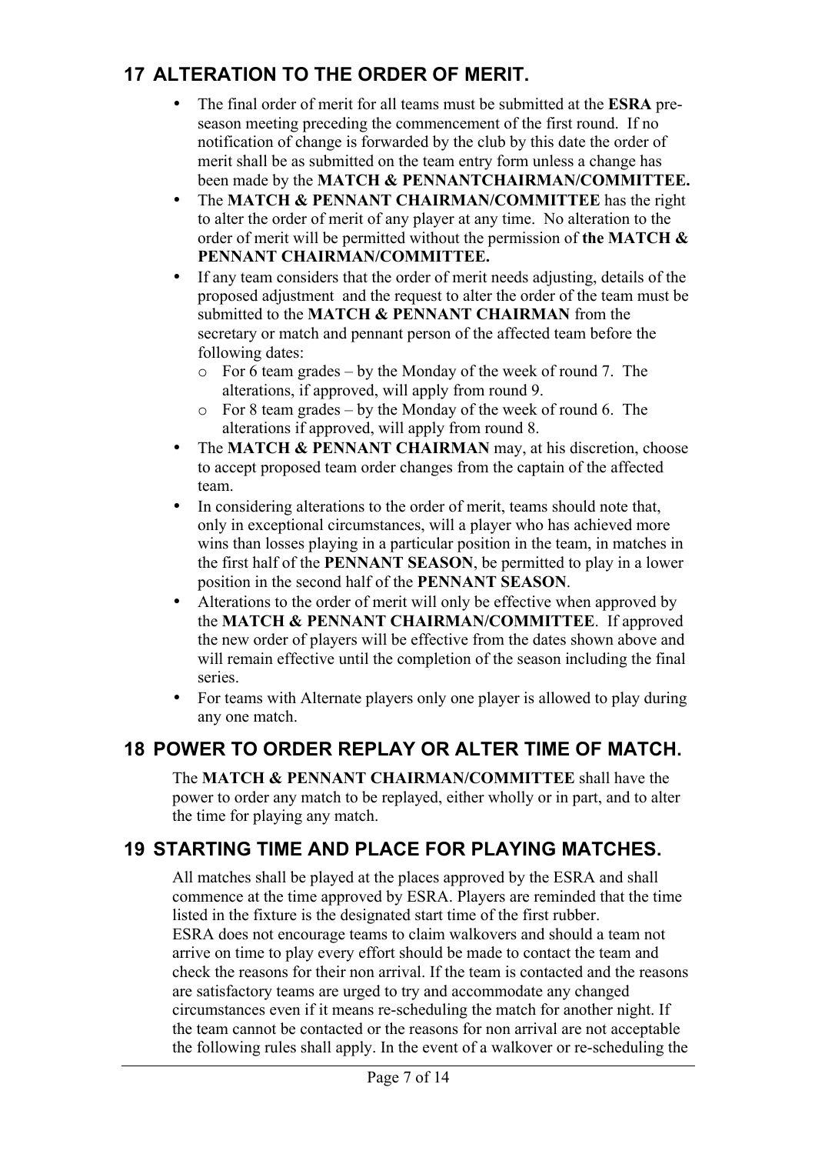# **17 ALTERATION TO THE ORDER OF MERIT.**

- The final order of merit for all teams must be submitted at the **ESRA** preseason meeting preceding the commencement of the first round. If no notification of change is forwarded by the club by this date the order of merit shall be as submitted on the team entry form unless a change has been made by the **MATCH & PENNANTCHAIRMAN/COMMITTEE.**
- The **MATCH & PENNANT CHAIRMAN/COMMITTEE** has the right to alter the order of merit of any player at any time. No alteration to the order of merit will be permitted without the permission of **the MATCH & PENNANT CHAIRMAN/COMMITTEE.**
- If any team considers that the order of merit needs adjusting, details of the proposed adjustment and the request to alter the order of the team must be submitted to the **MATCH & PENNANT CHAIRMAN** from the secretary or match and pennant person of the affected team before the following dates:
	- o For 6 team grades by the Monday of the week of round 7. The alterations, if approved, will apply from round 9.
	- o For 8 team grades by the Monday of the week of round 6. The alterations if approved, will apply from round 8.
- The **MATCH & PENNANT CHAIRMAN** may, at his discretion, choose to accept proposed team order changes from the captain of the affected team.
- In considering alterations to the order of merit, teams should note that, only in exceptional circumstances, will a player who has achieved more wins than losses playing in a particular position in the team, in matches in the first half of the **PENNANT SEASON**, be permitted to play in a lower position in the second half of the **PENNANT SEASON**.
- Alterations to the order of merit will only be effective when approved by the **MATCH & PENNANT CHAIRMAN/COMMITTEE**. If approved the new order of players will be effective from the dates shown above and will remain effective until the completion of the season including the final series.
- For teams with Alternate players only one player is allowed to play during any one match.

# **18 POWER TO ORDER REPLAY OR ALTER TIME OF MATCH.**

The **MATCH & PENNANT CHAIRMAN/COMMITTEE** shall have the power to order any match to be replayed, either wholly or in part, and to alter the time for playing any match.

# **19 STARTING TIME AND PLACE FOR PLAYING MATCHES.**

All matches shall be played at the places approved by the ESRA and shall commence at the time approved by ESRA. Players are reminded that the time listed in the fixture is the designated start time of the first rubber. ESRA does not encourage teams to claim walkovers and should a team not arrive on time to play every effort should be made to contact the team and check the reasons for their non arrival. If the team is contacted and the reasons are satisfactory teams are urged to try and accommodate any changed circumstances even if it means re-scheduling the match for another night. If the team cannot be contacted or the reasons for non arrival are not acceptable the following rules shall apply. In the event of a walkover or re-scheduling the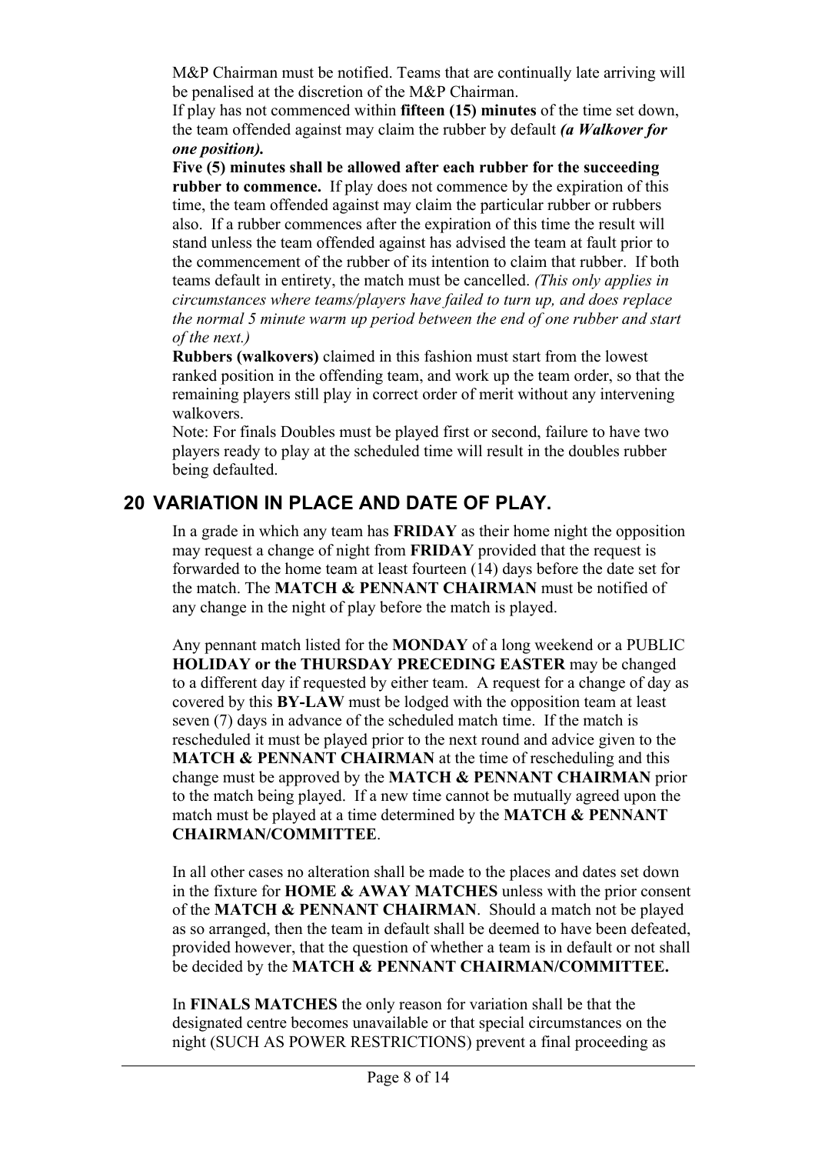M&P Chairman must be notified. Teams that are continually late arriving will be penalised at the discretion of the M&P Chairman.

If play has not commenced within **fifteen (15) minutes** of the time set down, the team offended against may claim the rubber by default *(a Walkover for one position).*

**Five (5) minutes shall be allowed after each rubber for the succeeding rubber to commence.** If play does not commence by the expiration of this time, the team offended against may claim the particular rubber or rubbers also. If a rubber commences after the expiration of this time the result will stand unless the team offended against has advised the team at fault prior to the commencement of the rubber of its intention to claim that rubber. If both teams default in entirety, the match must be cancelled. *(This only applies in circumstances where teams/players have failed to turn up, and does replace the normal 5 minute warm up period between the end of one rubber and start of the next.)*

**Rubbers (walkovers)** claimed in this fashion must start from the lowest ranked position in the offending team, and work up the team order, so that the remaining players still play in correct order of merit without any intervening walkovers.

Note: For finals Doubles must be played first or second, failure to have two players ready to play at the scheduled time will result in the doubles rubber being defaulted.

# **20 VARIATION IN PLACE AND DATE OF PLAY.**

In a grade in which any team has **FRIDAY** as their home night the opposition may request a change of night from **FRIDAY** provided that the request is forwarded to the home team at least fourteen (14) days before the date set for the match. The **MATCH & PENNANT CHAIRMAN** must be notified of any change in the night of play before the match is played.

Any pennant match listed for the **MONDAY** of a long weekend or a PUBLIC **HOLIDAY or the THURSDAY PRECEDING EASTER** may be changed to a different day if requested by either team. A request for a change of day as covered by this **BY-LAW** must be lodged with the opposition team at least seven (7) days in advance of the scheduled match time. If the match is rescheduled it must be played prior to the next round and advice given to the **MATCH & PENNANT CHAIRMAN** at the time of rescheduling and this change must be approved by the **MATCH & PENNANT CHAIRMAN** prior to the match being played. If a new time cannot be mutually agreed upon the match must be played at a time determined by the **MATCH & PENNANT CHAIRMAN/COMMITTEE**.

In all other cases no alteration shall be made to the places and dates set down in the fixture for **HOME & AWAY MATCHES** unless with the prior consent of the **MATCH & PENNANT CHAIRMAN**. Should a match not be played as so arranged, then the team in default shall be deemed to have been defeated, provided however, that the question of whether a team is in default or not shall be decided by the **MATCH & PENNANT CHAIRMAN/COMMITTEE.**

In **FINALS MATCHES** the only reason for variation shall be that the designated centre becomes unavailable or that special circumstances on the night (SUCH AS POWER RESTRICTIONS) prevent a final proceeding as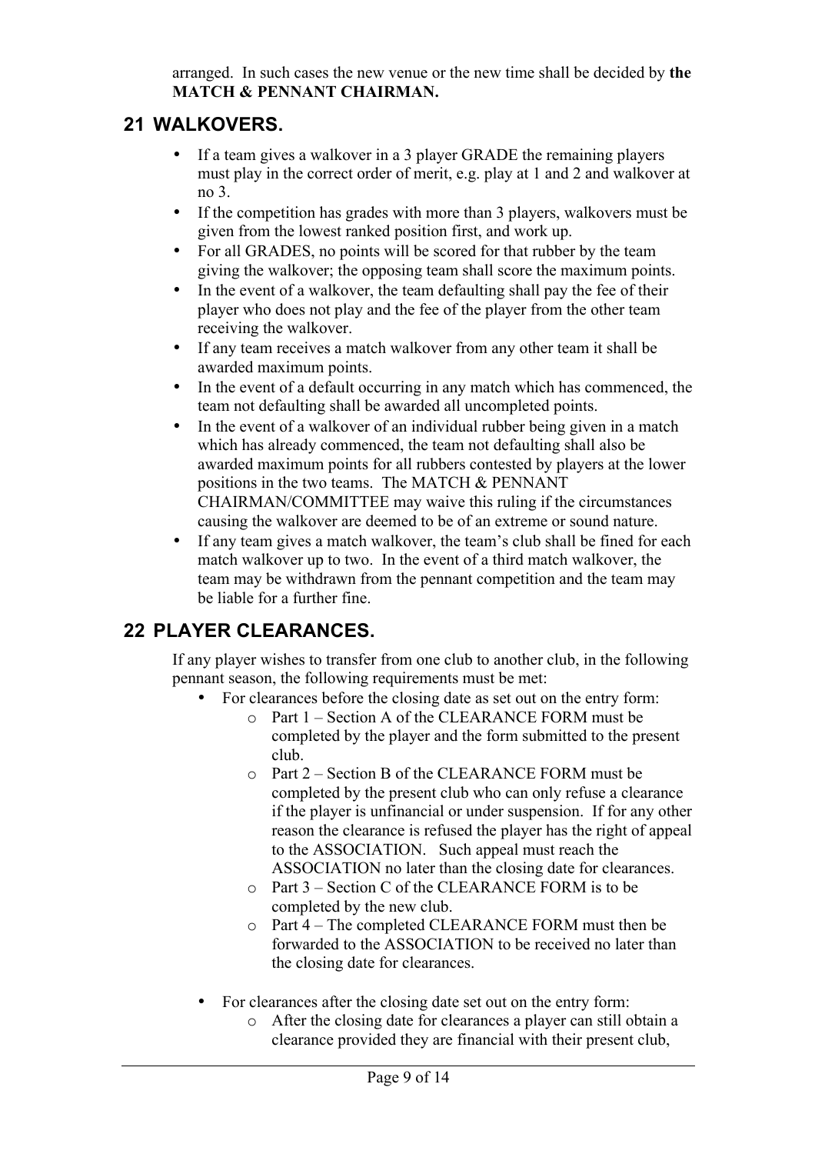arranged. In such cases the new venue or the new time shall be decided by **the MATCH & PENNANT CHAIRMAN.**

#### **21 WALKOVERS.**

- If a team gives a walkover in a 3 player GRADE the remaining players must play in the correct order of merit, e.g. play at 1 and 2 and walkover at no 3.
- If the competition has grades with more than 3 players, walkovers must be given from the lowest ranked position first, and work up.
- For all GRADES, no points will be scored for that rubber by the team giving the walkover; the opposing team shall score the maximum points.
- In the event of a walkover, the team defaulting shall pay the fee of their player who does not play and the fee of the player from the other team receiving the walkover.
- If any team receives a match walkover from any other team it shall be awarded maximum points.
- In the event of a default occurring in any match which has commenced, the team not defaulting shall be awarded all uncompleted points.
- In the event of a walkover of an individual rubber being given in a match which has already commenced, the team not defaulting shall also be awarded maximum points for all rubbers contested by players at the lower positions in the two teams. The MATCH & PENNANT CHAIRMAN/COMMITTEE may waive this ruling if the circumstances causing the walkover are deemed to be of an extreme or sound nature.
- If any team gives a match walkover, the team's club shall be fined for each match walkover up to two. In the event of a third match walkover, the team may be withdrawn from the pennant competition and the team may be liable for a further fine.

# **22 PLAYER CLEARANCES.**

If any player wishes to transfer from one club to another club, in the following pennant season, the following requirements must be met:

- For clearances before the closing date as set out on the entry form:
	- o Part 1 Section A of the CLEARANCE FORM must be completed by the player and the form submitted to the present club.
		- o Part 2 Section B of the CLEARANCE FORM must be completed by the present club who can only refuse a clearance if the player is unfinancial or under suspension. If for any other reason the clearance is refused the player has the right of appeal to the ASSOCIATION. Such appeal must reach the ASSOCIATION no later than the closing date for clearances.
		- o Part 3 Section C of the CLEARANCE FORM is to be completed by the new club.
		- o Part 4 The completed CLEARANCE FORM must then be forwarded to the ASSOCIATION to be received no later than the closing date for clearances.
- For clearances after the closing date set out on the entry form:
	- o After the closing date for clearances a player can still obtain a clearance provided they are financial with their present club,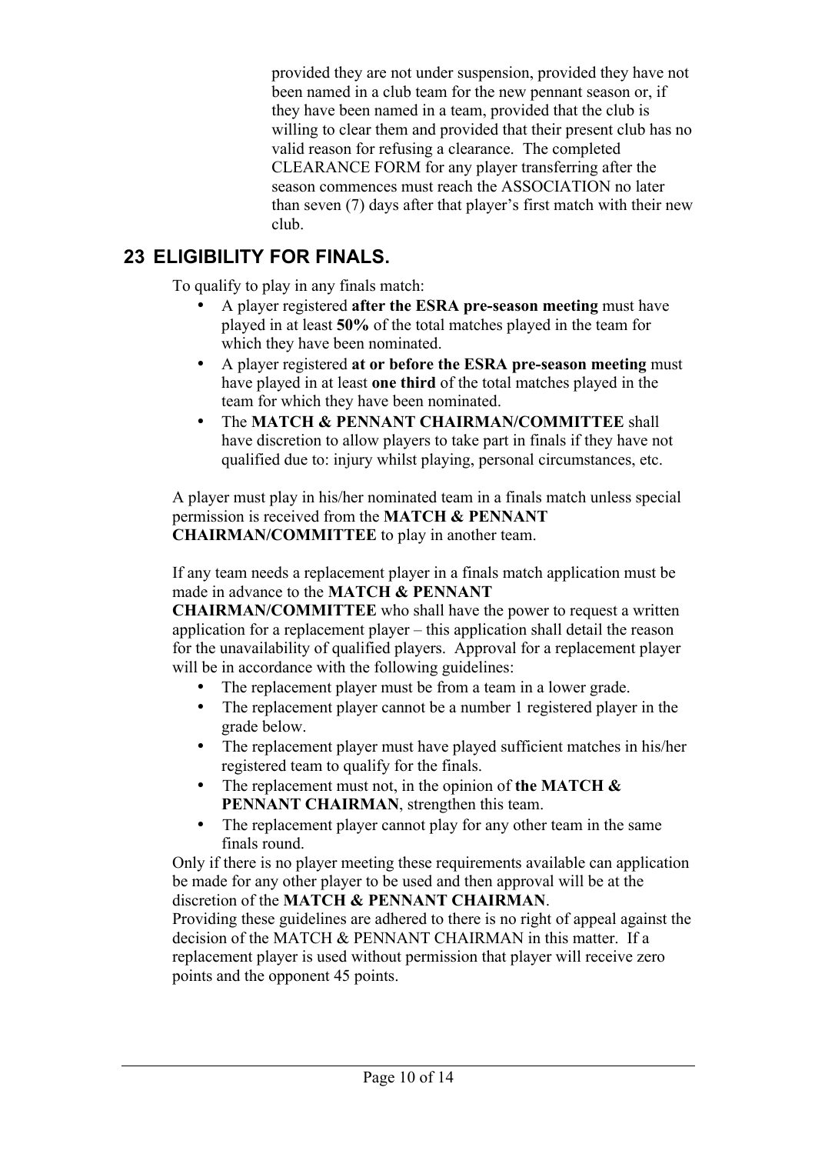provided they are not under suspension, provided they have not been named in a club team for the new pennant season or, if they have been named in a team, provided that the club is willing to clear them and provided that their present club has no valid reason for refusing a clearance. The completed CLEARANCE FORM for any player transferring after the season commences must reach the ASSOCIATION no later than seven (7) days after that player's first match with their new club.

#### **23 ELIGIBILITY FOR FINALS.**

To qualify to play in any finals match:

- A player registered **after the ESRA pre-season meeting** must have played in at least **50%** of the total matches played in the team for which they have been nominated.
- A player registered **at or before the ESRA pre-season meeting** must have played in at least **one third** of the total matches played in the team for which they have been nominated.
- The **MATCH & PENNANT CHAIRMAN/COMMITTEE** shall have discretion to allow players to take part in finals if they have not qualified due to: injury whilst playing, personal circumstances, etc.

A player must play in his/her nominated team in a finals match unless special permission is received from the **MATCH & PENNANT CHAIRMAN/COMMITTEE** to play in another team.

If any team needs a replacement player in a finals match application must be made in advance to the **MATCH & PENNANT** 

**CHAIRMAN/COMMITTEE** who shall have the power to request a written application for a replacement player – this application shall detail the reason for the unavailability of qualified players. Approval for a replacement player will be in accordance with the following guidelines:

- The replacement player must be from a team in a lower grade.
- The replacement player cannot be a number 1 registered player in the grade below.
- The replacement player must have played sufficient matches in his/her registered team to qualify for the finals.
- The replacement must not, in the opinion of **the MATCH & PENNANT CHAIRMAN**, strengthen this team.
- The replacement player cannot play for any other team in the same finals round.

Only if there is no player meeting these requirements available can application be made for any other player to be used and then approval will be at the discretion of the **MATCH & PENNANT CHAIRMAN**.

Providing these guidelines are adhered to there is no right of appeal against the decision of the MATCH & PENNANT CHAIRMAN in this matter. If a replacement player is used without permission that player will receive zero points and the opponent 45 points.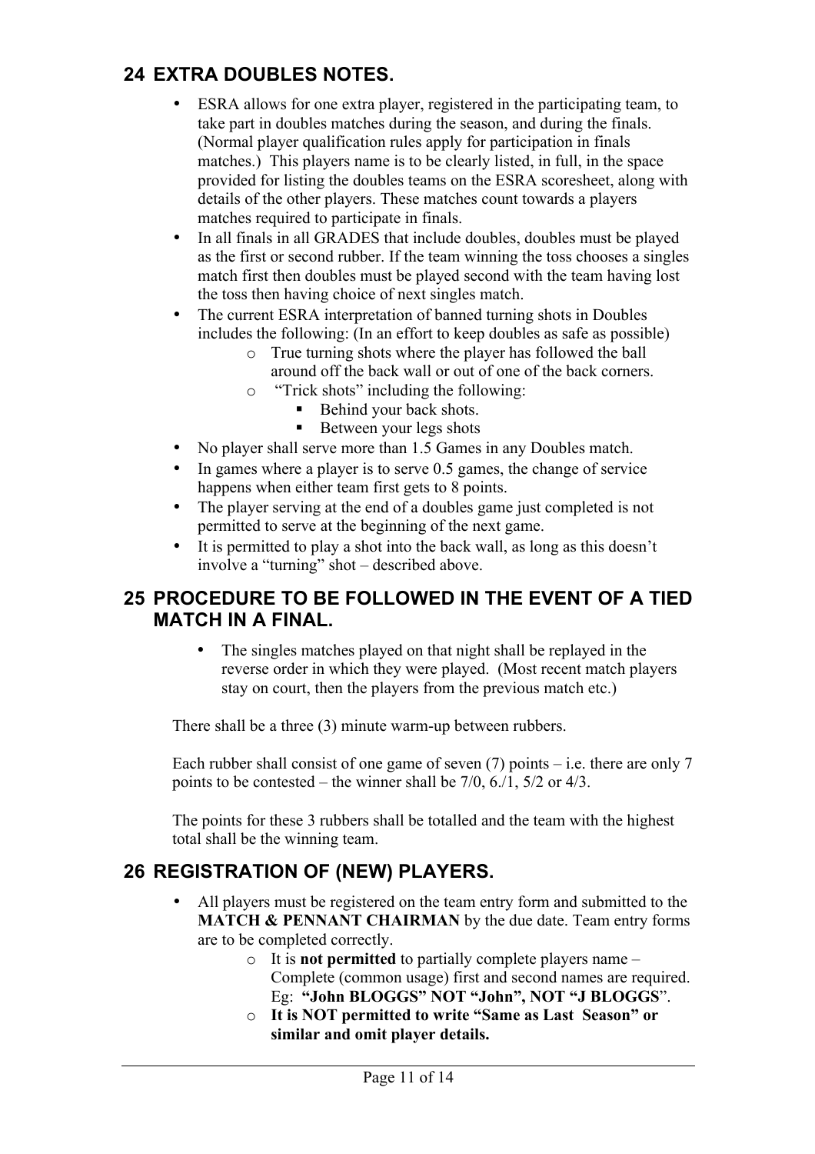## **24 EXTRA DOUBLES NOTES.**

- ESRA allows for one extra player, registered in the participating team, to take part in doubles matches during the season, and during the finals. (Normal player qualification rules apply for participation in finals matches.) This players name is to be clearly listed, in full, in the space provided for listing the doubles teams on the ESRA scoresheet, along with details of the other players. These matches count towards a players matches required to participate in finals.
- In all finals in all GRADES that include doubles, doubles must be played as the first or second rubber. If the team winning the toss chooses a singles match first then doubles must be played second with the team having lost the toss then having choice of next singles match.
- The current ESRA interpretation of banned turning shots in Doubles includes the following: (In an effort to keep doubles as safe as possible)
	- o True turning shots where the player has followed the ball around off the back wall or out of one of the back corners.
	- o "Trick shots" including the following:
		- **Behind your back shots.**
		- Between your legs shots
- No player shall serve more than 1.5 Games in any Doubles match.
- In games where a player is to serve 0.5 games, the change of service happens when either team first gets to 8 points.
- The player serving at the end of a doubles game just completed is not permitted to serve at the beginning of the next game.
- It is permitted to play a shot into the back wall, as long as this doesn't involve a "turning" shot – described above.

#### **25 PROCEDURE TO BE FOLLOWED IN THE EVENT OF A TIED MATCH IN A FINAL.**

• The singles matches played on that night shall be replayed in the reverse order in which they were played. (Most recent match players stay on court, then the players from the previous match etc.)

There shall be a three (3) minute warm-up between rubbers.

Each rubber shall consist of one game of seven  $(7)$  points – i.e. there are only 7 points to be contested – the winner shall be 7/0, 6./1, 5/2 or 4/3.

The points for these 3 rubbers shall be totalled and the team with the highest total shall be the winning team.

# **26 REGISTRATION OF (NEW) PLAYERS.**

- All players must be registered on the team entry form and submitted to the **MATCH & PENNANT CHAIRMAN** by the due date. Team entry forms are to be completed correctly.
	- o It is **not permitted** to partially complete players name Complete (common usage) first and second names are required. Eg: **"John BLOGGS" NOT "John", NOT "J BLOGGS**".
	- o **It is NOT permitted to write "Same as Last Season" or similar and omit player details.**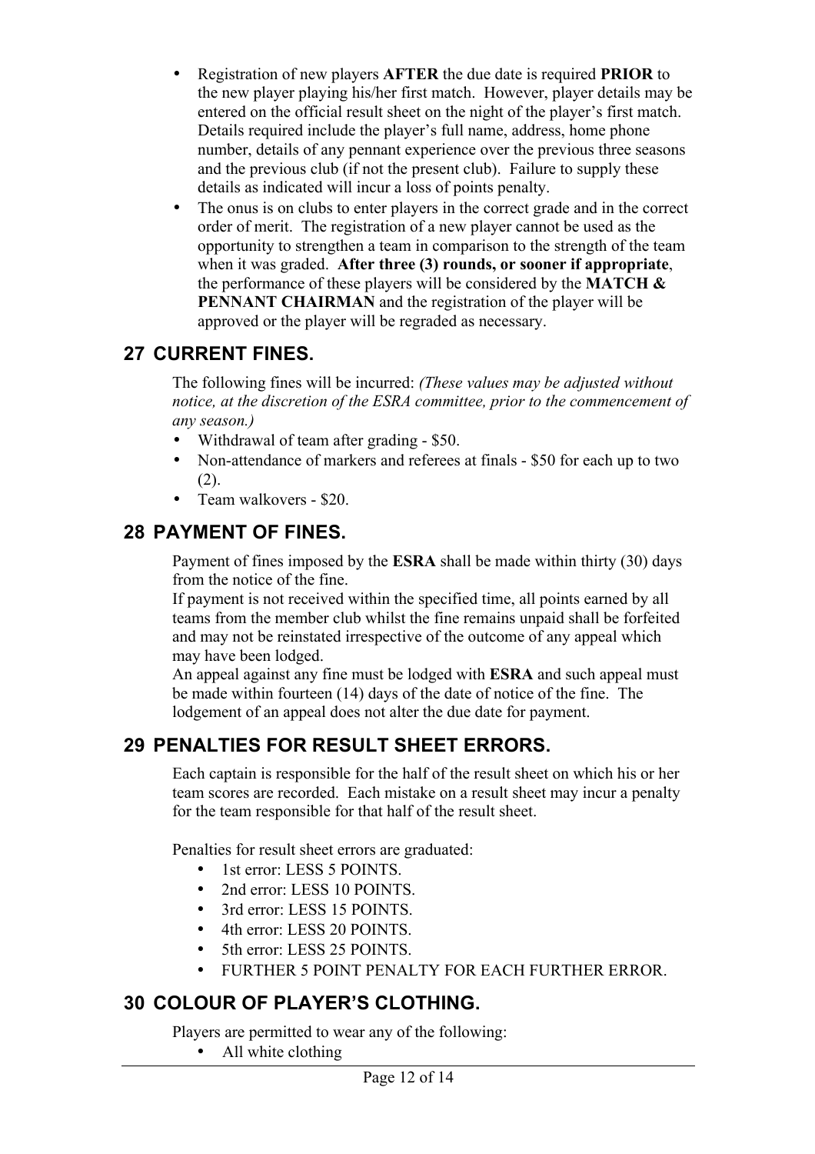- Registration of new players **AFTER** the due date is required **PRIOR** to the new player playing his/her first match. However, player details may be entered on the official result sheet on the night of the player's first match. Details required include the player's full name, address, home phone number, details of any pennant experience over the previous three seasons and the previous club (if not the present club). Failure to supply these details as indicated will incur a loss of points penalty.
- The onus is on clubs to enter players in the correct grade and in the correct order of merit. The registration of a new player cannot be used as the opportunity to strengthen a team in comparison to the strength of the team when it was graded. **After three (3) rounds, or sooner if appropriate**, the performance of these players will be considered by the **MATCH & PENNANT CHAIRMAN** and the registration of the player will be approved or the player will be regraded as necessary.

#### **27 CURRENT FINES.**

The following fines will be incurred: *(These values may be adjusted without notice, at the discretion of the ESRA committee, prior to the commencement of any season.)*

- Withdrawal of team after grading \$50.
- Non-attendance of markers and referees at finals \$50 for each up to two  $(2)$ .
- Team walkovers \$20.

#### **28 PAYMENT OF FINES.**

Payment of fines imposed by the **ESRA** shall be made within thirty (30) days from the notice of the fine.

If payment is not received within the specified time, all points earned by all teams from the member club whilst the fine remains unpaid shall be forfeited and may not be reinstated irrespective of the outcome of any appeal which may have been lodged.

An appeal against any fine must be lodged with **ESRA** and such appeal must be made within fourteen (14) days of the date of notice of the fine. The lodgement of an appeal does not alter the due date for payment.

#### **29 PENALTIES FOR RESULT SHEET ERRORS.**

Each captain is responsible for the half of the result sheet on which his or her team scores are recorded. Each mistake on a result sheet may incur a penalty for the team responsible for that half of the result sheet.

Penalties for result sheet errors are graduated:

- 1st error: LESS 5 POINTS.
- 2nd error: LESS 10 POINTS
- 3rd error: LESS 15 POINTS.
- 4th error: LESS 20 POINTS
- 5th error: LESS 25 POINTS.
- FURTHER 5 POINT PENALTY FOR EACH FURTHER ERROR.

# **30 COLOUR OF PLAYER'S CLOTHING.**

Players are permitted to wear any of the following:

• All white clothing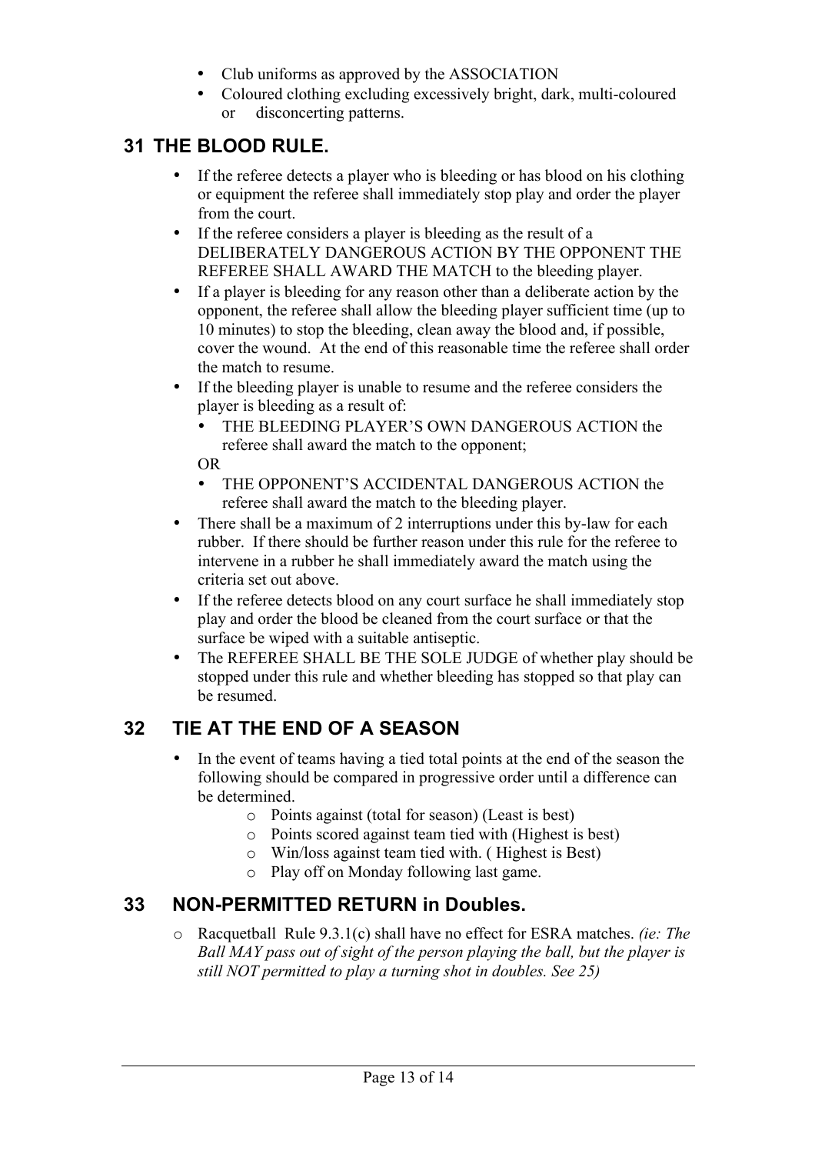- Club uniforms as approved by the ASSOCIATION
- Coloured clothing excluding excessively bright, dark, multi-coloured or disconcerting patterns.

## **31 THE BLOOD RULE.**

- If the referee detects a player who is bleeding or has blood on his clothing or equipment the referee shall immediately stop play and order the player from the court.
- If the referee considers a player is bleeding as the result of a DELIBERATELY DANGEROUS ACTION BY THE OPPONENT THE REFEREE SHALL AWARD THE MATCH to the bleeding player.
- If a player is bleeding for any reason other than a deliberate action by the opponent, the referee shall allow the bleeding player sufficient time (up to 10 minutes) to stop the bleeding, clean away the blood and, if possible, cover the wound. At the end of this reasonable time the referee shall order the match to resume.
- If the bleeding player is unable to resume and the referee considers the player is bleeding as a result of:
	- THE BLEEDING PLAYER'S OWN DANGEROUS ACTION the referee shall award the match to the opponent;

OR

- THE OPPONENT'S ACCIDENTAL DANGEROUS ACTION the referee shall award the match to the bleeding player.
- There shall be a maximum of 2 interruptions under this by-law for each rubber. If there should be further reason under this rule for the referee to intervene in a rubber he shall immediately award the match using the criteria set out above.
- If the referee detects blood on any court surface he shall immediately stop play and order the blood be cleaned from the court surface or that the surface be wiped with a suitable antiseptic.
- The REFEREE SHALL BE THE SOLE JUDGE of whether play should be stopped under this rule and whether bleeding has stopped so that play can be resumed.

# **32 TIE AT THE END OF A SEASON**

- In the event of teams having a tied total points at the end of the season the following should be compared in progressive order until a difference can be determined.
	- o Points against (total for season) (Least is best)
	- o Points scored against team tied with (Highest is best)
	- o Win/loss against team tied with. ( Highest is Best)
	- o Play off on Monday following last game.

#### **33 NON-PERMITTED RETURN in Doubles.**

o Racquetball Rule 9.3.1(c) shall have no effect for ESRA matches. *(ie: The Ball MAY pass out of sight of the person playing the ball, but the player is still NOT permitted to play a turning shot in doubles. See 25)*